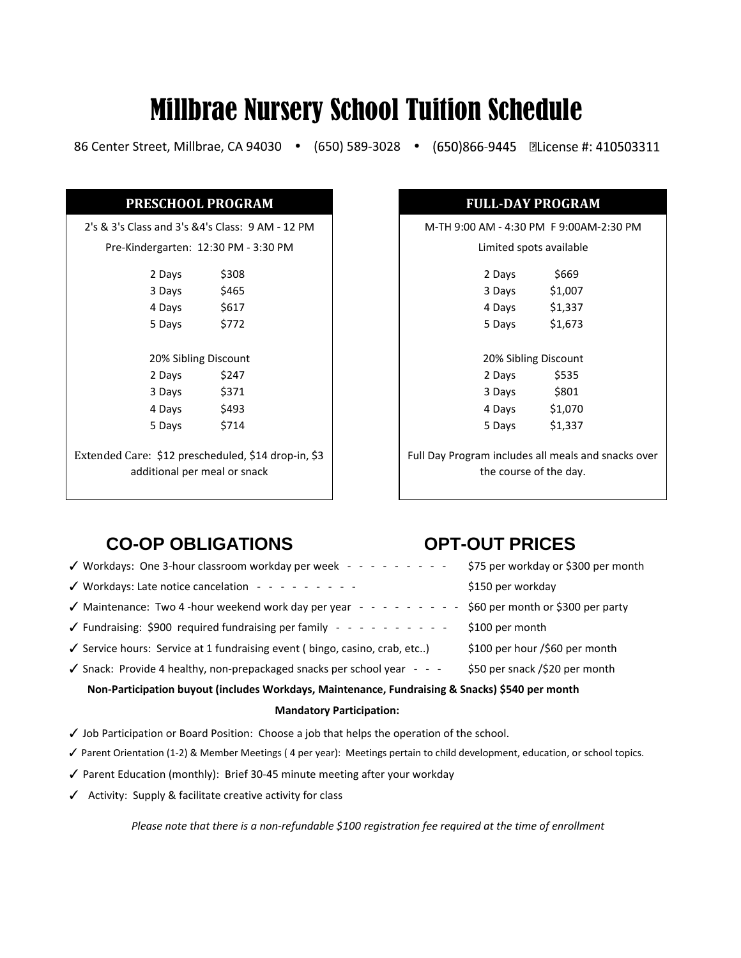# Millbrae Nursery School Tuition Schedule

86 Center Street, Millbrae, CA 94030 (650) 589-3028

| PRESCHOOL PROGRAM                                                                   |       |                                         | <b>FULL-DAY PROGRAM</b> |
|-------------------------------------------------------------------------------------|-------|-----------------------------------------|-------------------------|
| 2's & 3's Class and 3's &4's Class: 9 AM - 12 PM                                    |       | M-TH 9:00 AM - 4:30 PM F 9:00AM-        |                         |
| Pre-Kindergarten: 12:30 PM - 3:30 PM                                                |       |                                         | Limited spots available |
| 2 Days                                                                              | \$308 | 2 Days                                  | \$669                   |
| 3 Days                                                                              | \$465 | 3 Days                                  | \$1,007                 |
| 4 Days                                                                              | \$617 | 4 Days                                  | \$1,337                 |
| 5 Days                                                                              | \$772 | 5 Days                                  | \$1,673                 |
| 20% Sibling Discount                                                                |       |                                         | 20% Sibling Discount    |
| 2 Days                                                                              | \$247 | 2 Days                                  | \$535                   |
| 3 Days                                                                              | \$371 | 3 Days                                  | \$801                   |
| 4 Days                                                                              | \$493 | 4 Days                                  | \$1,070                 |
| 5 Days                                                                              | \$714 | 5 Days                                  | \$1,337                 |
| Extended Care: \$12 prescheduled, \$14 drop-in, \$3<br>additional per meal or snack |       | Full Day Program includes all meals and | the course of the day.  |

| <b>FULL-DAY PROGRAM</b>                             |         |  |  |  |
|-----------------------------------------------------|---------|--|--|--|
| M-TH 9:00 AM - 4:30 PM F 9:00AM-2:30 PM             |         |  |  |  |
| Limited spots available                             |         |  |  |  |
| 2 Days                                              | \$669   |  |  |  |
| 3 Days                                              | \$1,007 |  |  |  |
| 4 Days                                              | \$1,337 |  |  |  |
| 5 Days                                              | \$1,673 |  |  |  |
| 20% Sibling Discount                                |         |  |  |  |
| 2 Days                                              | \$535   |  |  |  |
| 3 Days                                              | \$801   |  |  |  |
| 4 Days                                              | \$1,070 |  |  |  |
| 5 Days                                              | \$1,337 |  |  |  |
| Full Day Program includes all meals and snacks over |         |  |  |  |
| the course of the day.                              |         |  |  |  |

## **CO-OP OBLIGATIONS OPT-OUT PRICES**

| √ Workdays: One 3-hour classroom workday per week - - - - - - - - - -                           | \$75 per workday or \$300 per month |  |  |
|-------------------------------------------------------------------------------------------------|-------------------------------------|--|--|
| $\checkmark$ Workdays: Late notice cancelation - - - - - - - - - -                              | \$150 per workday                   |  |  |
| $\checkmark$ Maintenance: Two 4-hour weekend work day per year - - - - - - - - - -              | \$60 per month or \$300 per party   |  |  |
| $\checkmark$ Fundraising: \$900 required fundraising per family - - - - - - - - - - -           | \$100 per month                     |  |  |
| √ Service hours: Service at 1 fundraising event (bingo, casino, crab, etc)                      | \$100 per hour /\$60 per month      |  |  |
| $\checkmark$ Snack: Provide 4 healthy, non-prepackaged snacks per school year - - -             | \$50 per snack /\$20 per month      |  |  |
| Non-Participation buyout (includes Workdays, Maintenance, Fundraising & Snacks) \$540 per month |                                     |  |  |
|                                                                                                 |                                     |  |  |

#### **Mandatory Participation:**

- ✓ Job Participation or Board Position: Choose a job that helps the operation of the school.
- ✓ Parent Orientation (1-2) & Member Meetings ( 4 per year): Meetings pertain to child development, education, or school topics.
- ✓ Parent Education (monthly): Brief 30-45 minute meeting after your workday
- ✓ Activity: Supply & facilitate creative activity for class

*Please note that there is a non-refundable \$100 registration fee required at the time of enrollment*